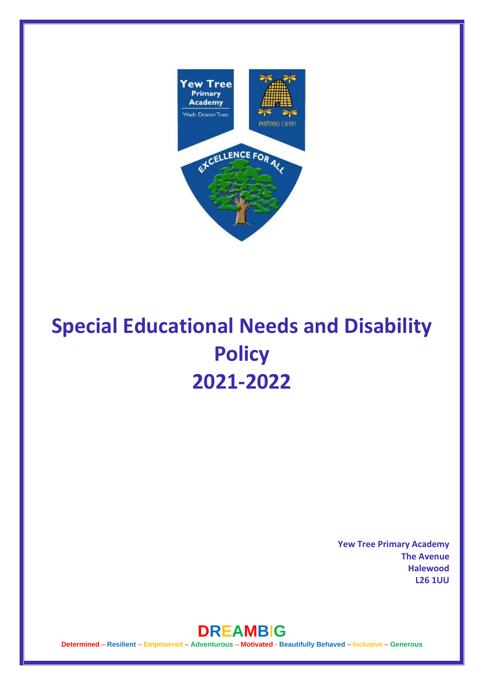

# **Special Educational Needs and Disability Policy 2021-2022**

**Yew Tree Primary Academy The Avenue Halewood L26 1UU** 



**Determined** – **Resilient** – **Empowered** – **Adventurous** – **Motivated** - **Beautifully Behaved** – **Inclusive** – **Generous**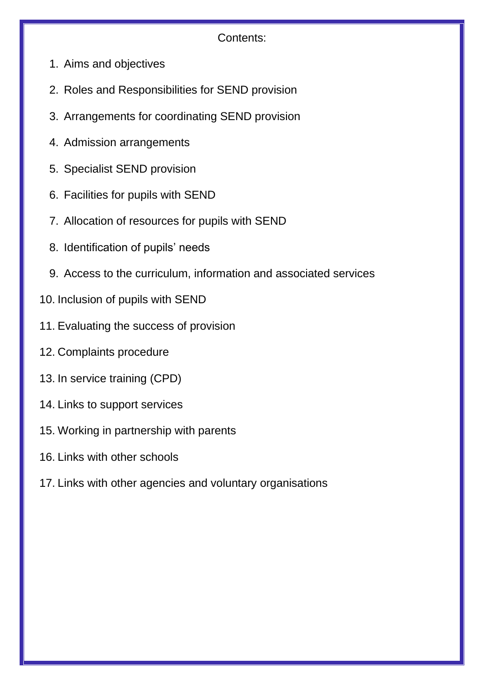# Contents:

- 1. Aims and objectives
- 2. Roles and Responsibilities for SEND provision
- 3. Arrangements for coordinating SEND provision
- 4. Admission arrangements
- 5. Specialist SEND provision
- 6. Facilities for pupils with SEND
- 7. Allocation of resources for pupils with SEND
- 8. Identification of pupils' needs
- 9. Access to the curriculum, information and associated services
- 10. Inclusion of pupils with SEND
- 11. Evaluating the success of provision
- 12. Complaints procedure
- 13. In service training (CPD)
- 14. Links to support services
- 15. Working in partnership with parents
- 16. Links with other schools
- 17. Links with other agencies and voluntary organisations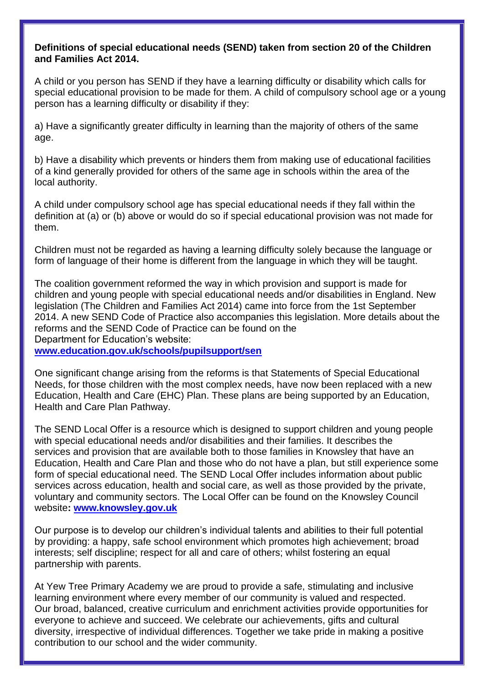#### **Definitions of special educational needs (SEND) taken from section 20 of the Children and Families Act 2014.**

A child or you person has SEND if they have a learning difficulty or disability which calls for special educational provision to be made for them. A child of compulsory school age or a young person has a learning difficulty or disability if they:

a) Have a significantly greater difficulty in learning than the majority of others of the same age.

b) Have a disability which prevents or hinders them from making use of educational facilities of a kind generally provided for others of the same age in schools within the area of the local authority.

A child under compulsory school age has special educational needs if they fall within the definition at (a) or (b) above or would do so if special educational provision was not made for them.

Children must not be regarded as having a learning difficulty solely because the language or form of language of their home is different from the language in which they will be taught.

The coalition government reformed the way in which provision and support is made for children and young people with special educational needs and/or disabilities in England. New legislation (The Children and Families Act 2014) came into force from the 1st September 2014. A new SEND Code of Practice also accompanies this legislation. More details about the reforms and the SEND Code of Practice can be found on the Department for Education's website:

**[www.education.gov.uk/schools/pupilsupport/sen](http://www.education.gov.uk/schools/pupilsupport/sen)**

One significant change arising from the reforms is that Statements of Special Educational Needs, for those children with the most complex needs, have now been replaced with a new Education, Health and Care (EHC) Plan. These plans are being supported by an Education, Health and Care Plan Pathway.

The SEND Local Offer is a resource which is designed to support children and young people with special educational needs and/or disabilities and their families. It describes the services and provision that are available both to those families in Knowsley that have an Education, Health and Care Plan and those who do not have a plan, but still experience some form of special educational need. The SEND Local Offer includes information about public services across education, health and social care, as well as those provided by the private, voluntary and community sectors. The Local Offer can be found on the Knowsley Council website**: [www.knowsley.gov.uk](http://www.knowsley.gov.uk/)**

Our purpose is to develop our children's individual talents and abilities to their full potential by providing: a happy, safe school environment which promotes high achievement; broad interests; self discipline; respect for all and care of others; whilst fostering an equal partnership with parents.

At Yew Tree Primary Academy we are proud to provide a safe, stimulating and inclusive learning environment where every member of our community is valued and respected. Our broad, balanced, creative curriculum and enrichment activities provide opportunities for everyone to achieve and succeed. We celebrate our achievements, gifts and cultural diversity, irrespective of individual differences. Together we take pride in making a positive contribution to our school and the wider community.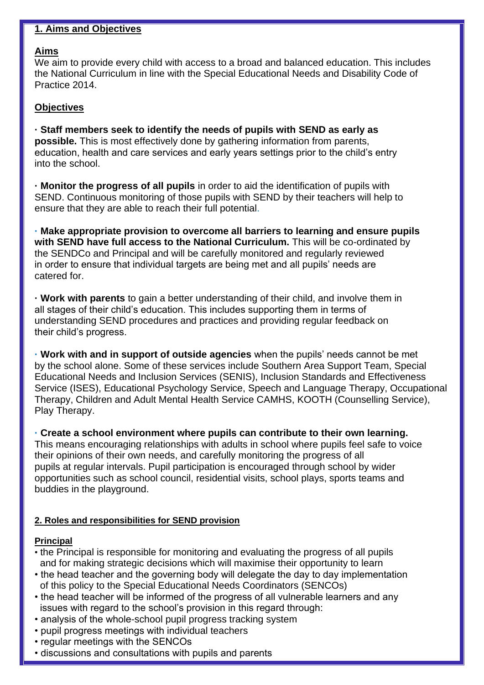#### **1. Aims and Objectives**

#### **Aims**

We aim to provide every child with access to a broad and balanced education. This includes the National Curriculum in line with the Special Educational Needs and Disability Code of Practice 2014.

#### **Objectives**

**· Staff members seek to identify the needs of pupils with SEND as early as possible.** This is most effectively done by gathering information from parents, education, health and care services and early years settings prior to the child's entry into the school.

**· Monitor the progress of all pupils** in order to aid the identification of pupils with SEND. Continuous monitoring of those pupils with SEND by their teachers will help to ensure that they are able to reach their full potential.

**· Make appropriate provision to overcome all barriers to learning and ensure pupils with SEND have full access to the National Curriculum.** This will be co-ordinated by the SENDCo and Principal and will be carefully monitored and regularly reviewed in order to ensure that individual targets are being met and all pupils' needs are catered for.

**· Work with parents** to gain a better understanding of their child, and involve them in all stages of their child's education. This includes supporting them in terms of understanding SEND procedures and practices and providing regular feedback on their child's progress.

**· Work with and in support of outside agencies** when the pupils' needs cannot be met by the school alone. Some of these services include Southern Area Support Team, Special Educational Needs and Inclusion Services (SENIS), Inclusion Standards and Effectiveness Service (ISES), Educational Psychology Service, Speech and Language Therapy, Occupational Therapy, Children and Adult Mental Health Service CAMHS, KOOTH (Counselling Service), Play Therapy.

**· Create a school environment where pupils can contribute to their own learning.** This means encouraging relationships with adults in school where pupils feel safe to voice their opinions of their own needs, and carefully monitoring the progress of all pupils at regular intervals. Pupil participation is encouraged through school by wider opportunities such as school council, residential visits, school plays, sports teams and buddies in the playground.

#### **2. Roles and responsibilities for SEND provision**

#### **Principal**

- the Principal is responsible for monitoring and evaluating the progress of all pupils and for making strategic decisions which will maximise their opportunity to learn
- the head teacher and the governing body will delegate the day to day implementation of this policy to the Special Educational Needs Coordinators (SENCOs)
- the head teacher will be informed of the progress of all vulnerable learners and any issues with regard to the school's provision in this regard through:
- analysis of the whole-school pupil progress tracking system
- pupil progress meetings with individual teachers
- regular meetings with the SENCOs
- discussions and consultations with pupils and parents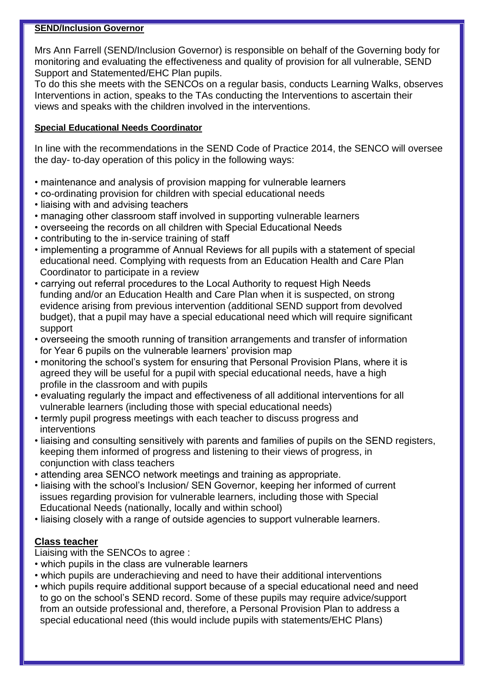#### **SEND/Inclusion Governor**

Mrs Ann Farrell (SEND/Inclusion Governor) is responsible on behalf of the Governing body for monitoring and evaluating the effectiveness and quality of provision for all vulnerable, SEND Support and Statemented/EHC Plan pupils.

To do this she meets with the SENCOs on a regular basis, conducts Learning Walks, observes Interventions in action, speaks to the TAs conducting the Interventions to ascertain their views and speaks with the children involved in the interventions.

#### **Special Educational Needs Coordinator**

In line with the recommendations in the SEND Code of Practice 2014, the SENCO will oversee the day- to-day operation of this policy in the following ways:

- maintenance and analysis of provision mapping for vulnerable learners
- co-ordinating provision for children with special educational needs
- liaising with and advising teachers
- managing other classroom staff involved in supporting vulnerable learners
- overseeing the records on all children with Special Educational Needs
- contributing to the in-service training of staff
- implementing a programme of Annual Reviews for all pupils with a statement of special educational need. Complying with requests from an Education Health and Care Plan Coordinator to participate in a review
- carrying out referral procedures to the Local Authority to request High Needs funding and/or an Education Health and Care Plan when it is suspected, on strong evidence arising from previous intervention (additional SEND support from devolved budget), that a pupil may have a special educational need which will require significant support
- overseeing the smooth running of transition arrangements and transfer of information for Year 6 pupils on the vulnerable learners' provision map
- monitoring the school's system for ensuring that Personal Provision Plans, where it is agreed they will be useful for a pupil with special educational needs, have a high profile in the classroom and with pupils
- evaluating regularly the impact and effectiveness of all additional interventions for all vulnerable learners (including those with special educational needs)
- termly pupil progress meetings with each teacher to discuss progress and interventions
- liaising and consulting sensitively with parents and families of pupils on the SEND registers, keeping them informed of progress and listening to their views of progress, in conjunction with class teachers
- attending area SENCO network meetings and training as appropriate.
- liaising with the school's Inclusion/ SEN Governor, keeping her informed of current issues regarding provision for vulnerable learners, including those with Special Educational Needs (nationally, locally and within school)
- liaising closely with a range of outside agencies to support vulnerable learners.

## **Class teacher**

Liaising with the SENCOs to agree :

- which pupils in the class are vulnerable learners
- which pupils are underachieving and need to have their additional interventions
- which pupils require additional support because of a special educational need and need to go on the school's SEND record. Some of these pupils may require advice/support from an outside professional and, therefore, a Personal Provision Plan to address a special educational need (this would include pupils with statements/EHC Plans)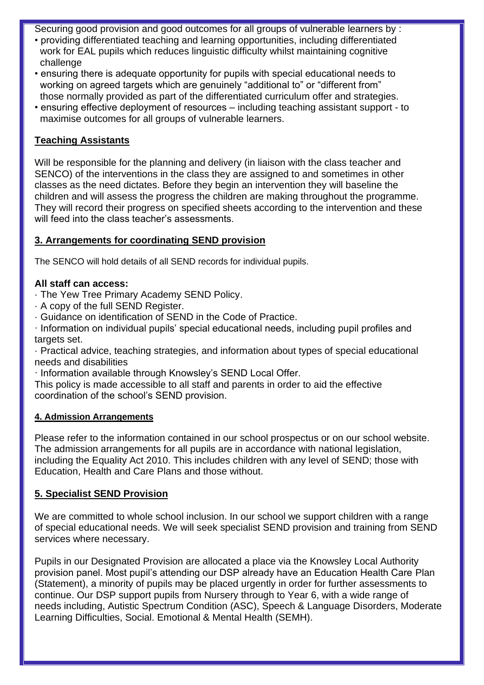Securing good provision and good outcomes for all groups of vulnerable learners by :

- providing differentiated teaching and learning opportunities, including differentiated work for EAL pupils which reduces linguistic difficulty whilst maintaining cognitive challenge
- ensuring there is adequate opportunity for pupils with special educational needs to working on agreed targets which are genuinely "additional to" or "different from" those normally provided as part of the differentiated curriculum offer and strategies.
- ensuring effective deployment of resources including teaching assistant support to maximise outcomes for all groups of vulnerable learners.

## **Teaching Assistants**

Will be responsible for the planning and delivery (in liaison with the class teacher and SENCO) of the interventions in the class they are assigned to and sometimes in other classes as the need dictates. Before they begin an intervention they will baseline the children and will assess the progress the children are making throughout the programme. They will record their progress on specified sheets according to the intervention and these will feed into the class teacher's assessments.

## **3. Arrangements for coordinating SEND provision**

The SENCO will hold details of all SEND records for individual pupils.

## **All staff can access:**

- · The Yew Tree Primary Academy SEND Policy.
- · A copy of the full SEND Register.
- · Guidance on identification of SEND in the Code of Practice.
- · Information on individual pupils' special educational needs, including pupil profiles and targets set.
- · Practical advice, teaching strategies, and information about types of special educational needs and disabilities
- · Information available through Knowsley's SEND Local Offer.
- This policy is made accessible to all staff and parents in order to aid the effective coordination of the school's SEND provision.

## **4. Admission Arrangements**

Please refer to the information contained in our school prospectus or on our school website. The admission arrangements for all pupils are in accordance with national legislation, including the Equality Act 2010. This includes children with any level of SEND; those with Education, Health and Care Plans and those without.

## **5. Specialist SEND Provision**

We are committed to whole school inclusion. In our school we support children with a range of special educational needs. We will seek specialist SEND provision and training from SEND services where necessary.

Pupils in our Designated Provision are allocated a place via the Knowsley Local Authority provision panel. Most pupil's attending our DSP already have an Education Health Care Plan (Statement), a minority of pupils may be placed urgently in order for further assessments to continue. Our DSP support pupils from Nursery through to Year 6, with a wide range of needs including, Autistic Spectrum Condition (ASC), Speech & Language Disorders, Moderate Learning Difficulties, Social. Emotional & Mental Health (SEMH).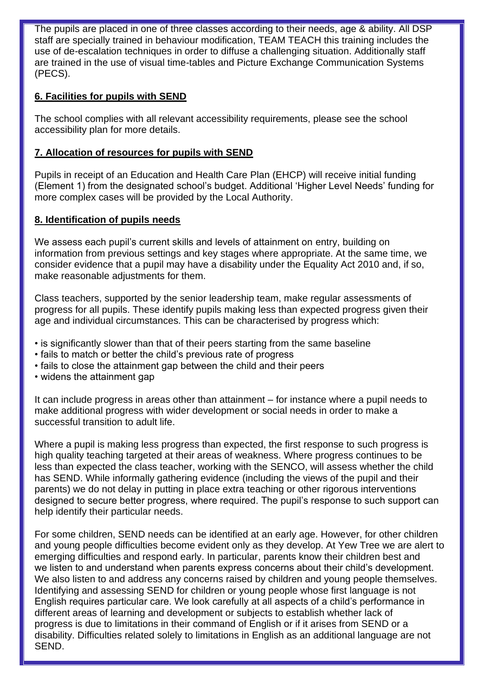The pupils are placed in one of three classes according to their needs, age & ability. All DSP staff are specially trained in behaviour modification, TEAM TEACH this training includes the use of de-escalation techniques in order to diffuse a challenging situation. Additionally staff are trained in the use of visual time-tables and Picture Exchange Communication Systems (PECS).

## **6. Facilities for pupils with SEND**

The school complies with all relevant accessibility requirements, please see the school accessibility plan for more details.

## **7. Allocation of resources for pupils with SEND**

Pupils in receipt of an Education and Health Care Plan (EHCP) will receive initial funding (Element 1) from the designated school's budget. Additional 'Higher Level Needs' funding for more complex cases will be provided by the Local Authority.

#### **8. Identification of pupils needs**

We assess each pupil's current skills and levels of attainment on entry, building on information from previous settings and key stages where appropriate. At the same time, we consider evidence that a pupil may have a disability under the Equality Act 2010 and, if so, make reasonable adjustments for them.

Class teachers, supported by the senior leadership team, make regular assessments of progress for all pupils. These identify pupils making less than expected progress given their age and individual circumstances. This can be characterised by progress which:

- is significantly slower than that of their peers starting from the same baseline
- fails to match or better the child's previous rate of progress
- fails to close the attainment gap between the child and their peers
- widens the attainment gap

It can include progress in areas other than attainment – for instance where a pupil needs to make additional progress with wider development or social needs in order to make a successful transition to adult life.

Where a pupil is making less progress than expected, the first response to such progress is high quality teaching targeted at their areas of weakness. Where progress continues to be less than expected the class teacher, working with the SENCO, will assess whether the child has SEND. While informally gathering evidence (including the views of the pupil and their parents) we do not delay in putting in place extra teaching or other rigorous interventions designed to secure better progress, where required. The pupil's response to such support can help identify their particular needs.

For some children, SEND needs can be identified at an early age. However, for other children and young people difficulties become evident only as they develop. At Yew Tree we are alert to emerging difficulties and respond early. In particular, parents know their children best and we listen to and understand when parents express concerns about their child's development. We also listen to and address any concerns raised by children and young people themselves. Identifying and assessing SEND for children or young people whose first language is not English requires particular care. We look carefully at all aspects of a child's performance in different areas of learning and development or subjects to establish whether lack of progress is due to limitations in their command of English or if it arises from SEND or a disability. Difficulties related solely to limitations in English as an additional language are not SEND.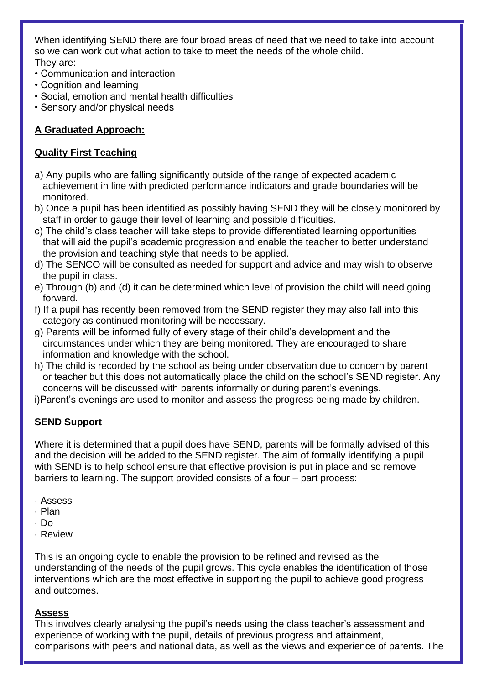When identifying SEND there are four broad areas of need that we need to take into account so we can work out what action to take to meet the needs of the whole child. They are:

- Communication and interaction
- Cognition and learning
- Social, emotion and mental health difficulties
- Sensory and/or physical needs

# **A Graduated Approach:**

## **Quality First Teaching**

- a) Any pupils who are falling significantly outside of the range of expected academic achievement in line with predicted performance indicators and grade boundaries will be monitored.
- b) Once a pupil has been identified as possibly having SEND they will be closely monitored by staff in order to gauge their level of learning and possible difficulties.
- c) The child's class teacher will take steps to provide differentiated learning opportunities that will aid the pupil's academic progression and enable the teacher to better understand the provision and teaching style that needs to be applied.
- d) The SENCO will be consulted as needed for support and advice and may wish to observe the pupil in class.
- e) Through (b) and (d) it can be determined which level of provision the child will need going forward.
- f) If a pupil has recently been removed from the SEND register they may also fall into this category as continued monitoring will be necessary.
- g) Parents will be informed fully of every stage of their child's development and the circumstances under which they are being monitored. They are encouraged to share information and knowledge with the school.
- h) The child is recorded by the school as being under observation due to concern by parent or teacher but this does not automatically place the child on the school's SEND register. Any concerns will be discussed with parents informally or during parent's evenings.
- i)Parent's evenings are used to monitor and assess the progress being made by children.

## **SEND Support**

Where it is determined that a pupil does have SEND, parents will be formally advised of this and the decision will be added to the SEND register. The aim of formally identifying a pupil with SEND is to help school ensure that effective provision is put in place and so remove barriers to learning. The support provided consists of a four – part process:

- · Assess
- · Plan
- · Do
- · Review

This is an ongoing cycle to enable the provision to be refined and revised as the understanding of the needs of the pupil grows. This cycle enables the identification of those interventions which are the most effective in supporting the pupil to achieve good progress and outcomes.

#### **Assess**

This involves clearly analysing the pupil's needs using the class teacher's assessment and experience of working with the pupil, details of previous progress and attainment, comparisons with peers and national data, as well as the views and experience of parents. The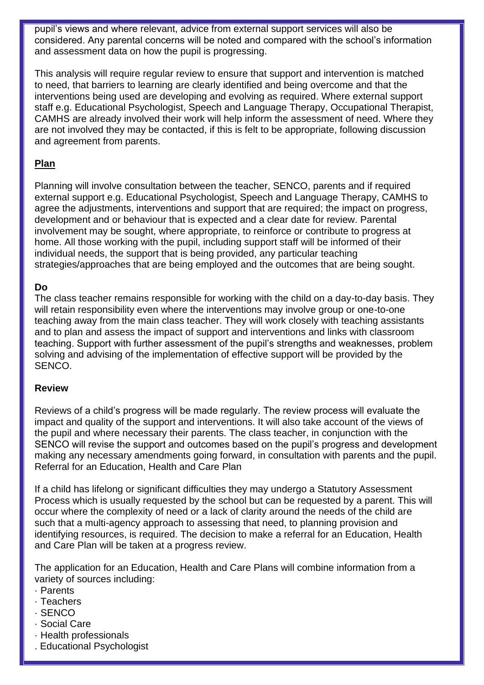pupil's views and where relevant, advice from external support services will also be considered. Any parental concerns will be noted and compared with the school's information and assessment data on how the pupil is progressing.

This analysis will require regular review to ensure that support and intervention is matched to need, that barriers to learning are clearly identified and being overcome and that the interventions being used are developing and evolving as required. Where external support staff e.g. Educational Psychologist, Speech and Language Therapy, Occupational Therapist, CAMHS are already involved their work will help inform the assessment of need. Where they are not involved they may be contacted, if this is felt to be appropriate, following discussion and agreement from parents.

## **Plan**

Planning will involve consultation between the teacher, SENCO, parents and if required external support e.g. Educational Psychologist, Speech and Language Therapy, CAMHS to agree the adjustments, interventions and support that are required; the impact on progress, development and or behaviour that is expected and a clear date for review. Parental involvement may be sought, where appropriate, to reinforce or contribute to progress at home. All those working with the pupil, including support staff will be informed of their individual needs, the support that is being provided, any particular teaching strategies/approaches that are being employed and the outcomes that are being sought.

#### **Do**

The class teacher remains responsible for working with the child on a day-to-day basis. They will retain responsibility even where the interventions may involve group or one-to-one teaching away from the main class teacher. They will work closely with teaching assistants and to plan and assess the impact of support and interventions and links with classroom teaching. Support with further assessment of the pupil's strengths and weaknesses, problem solving and advising of the implementation of effective support will be provided by the SENCO.

#### **Review**

Reviews of a child's progress will be made regularly. The review process will evaluate the impact and quality of the support and interventions. It will also take account of the views of the pupil and where necessary their parents. The class teacher, in conjunction with the SENCO will revise the support and outcomes based on the pupil's progress and development making any necessary amendments going forward, in consultation with parents and the pupil. Referral for an Education, Health and Care Plan

If a child has lifelong or significant difficulties they may undergo a Statutory Assessment Process which is usually requested by the school but can be requested by a parent. This will occur where the complexity of need or a lack of clarity around the needs of the child are such that a multi-agency approach to assessing that need, to planning provision and identifying resources, is required. The decision to make a referral for an Education, Health and Care Plan will be taken at a progress review.

The application for an Education, Health and Care Plans will combine information from a variety of sources including:

- · Parents
- · Teachers
- · SENCO
- · Social Care
- · Health professionals
- . Educational Psychologist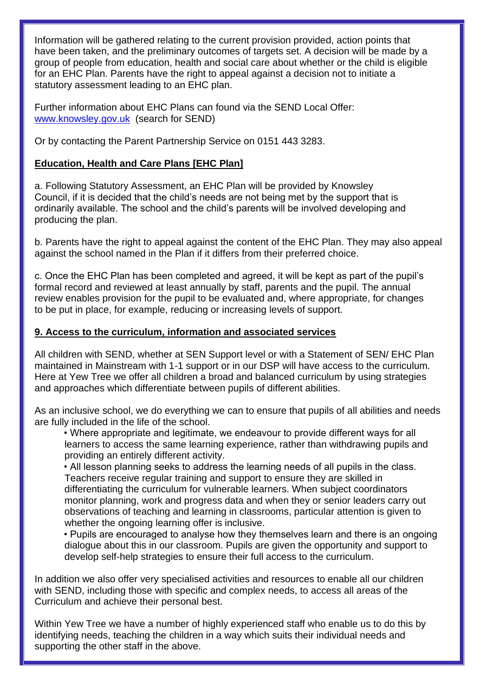Information will be gathered relating to the current provision provided, action points that have been taken, and the preliminary outcomes of targets set. A decision will be made by a group of people from education, health and social care about whether or the child is eligible for an EHC Plan. Parents have the right to appeal against a decision not to initiate a statutory assessment leading to an EHC plan.

Further information about EHC Plans can found via the SEND Local Offer: [www.knowsley.gov.uk](http://www.knowsley.gov.uk/) (search for SEND)

Or by contacting the Parent Partnership Service on 0151 443 3283.

## **Education, Health and Care Plans [EHC Plan]**

a. Following Statutory Assessment, an EHC Plan will be provided by Knowsley Council, if it is decided that the child's needs are not being met by the support that is ordinarily available. The school and the child's parents will be involved developing and producing the plan.

b. Parents have the right to appeal against the content of the EHC Plan. They may also appeal against the school named in the Plan if it differs from their preferred choice.

c. Once the EHC Plan has been completed and agreed, it will be kept as part of the pupil's formal record and reviewed at least annually by staff, parents and the pupil. The annual review enables provision for the pupil to be evaluated and, where appropriate, for changes to be put in place, for example, reducing or increasing levels of support.

## **9. Access to the curriculum, information and associated services**

All children with SEND, whether at SEN Support level or with a Statement of SEN/ EHC Plan maintained in Mainstream with 1-1 support or in our DSP will have access to the curriculum. Here at Yew Tree we offer all children a broad and balanced curriculum by using strategies and approaches which differentiate between pupils of different abilities.

As an inclusive school, we do everything we can to ensure that pupils of all abilities and needs are fully included in the life of the school.

• Where appropriate and legitimate, we endeavour to provide different ways for all learners to access the same learning experience, rather than withdrawing pupils and providing an entirely different activity.

• All lesson planning seeks to address the learning needs of all pupils in the class. Teachers receive regular training and support to ensure they are skilled in differentiating the curriculum for vulnerable learners. When subject coordinators monitor planning, work and progress data and when they or senior leaders carry out observations of teaching and learning in classrooms, particular attention is given to whether the ongoing learning offer is inclusive.

• Pupils are encouraged to analyse how they themselves learn and there is an ongoing dialogue about this in our classroom. Pupils are given the opportunity and support to develop self-help strategies to ensure their full access to the curriculum.

In addition we also offer very specialised activities and resources to enable all our children with SEND, including those with specific and complex needs, to access all areas of the Curriculum and achieve their personal best.

Within Yew Tree we have a number of highly experienced staff who enable us to do this by identifying needs, teaching the children in a way which suits their individual needs and supporting the other staff in the above.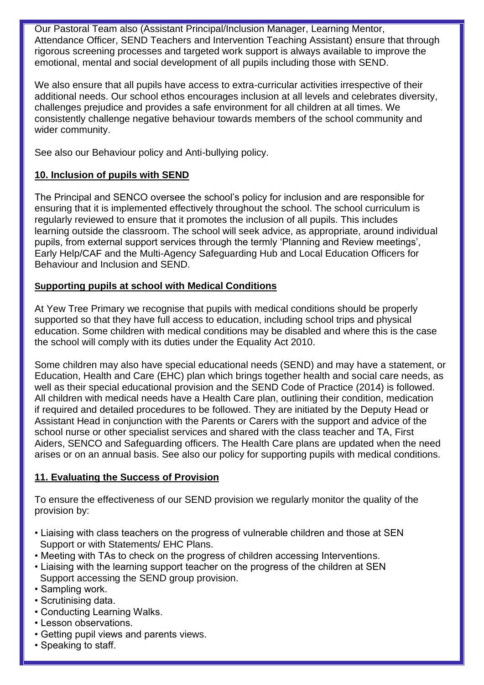Our Pastoral Team also (Assistant Principal/Inclusion Manager, Learning Mentor, Attendance Officer, SEND Teachers and Intervention Teaching Assistant) ensure that through rigorous screening processes and targeted work support is always available to improve the emotional, mental and social development of all pupils including those with SEND.

We also ensure that all pupils have access to extra-curricular activities irrespective of their additional needs. Our school ethos encourages inclusion at all levels and celebrates diversity, challenges prejudice and provides a safe environment for all children at all times. We consistently challenge negative behaviour towards members of the school community and wider community.

See also our Behaviour policy and Anti-bullying policy.

# **10. Inclusion of pupils with SEND**

The Principal and SENCO oversee the school's policy for inclusion and are responsible for ensuring that it is implemented effectively throughout the school. The school curriculum is regularly reviewed to ensure that it promotes the inclusion of all pupils. This includes learning outside the classroom. The school will seek advice, as appropriate, around individual pupils, from external support services through the termly 'Planning and Review meetings', Early Help/CAF and the Multi-Agency Safeguarding Hub and Local Education Officers for Behaviour and Inclusion and SEND.

# **Supporting pupils at school with Medical Conditions**

At Yew Tree Primary we recognise that pupils with medical conditions should be properly supported so that they have full access to education, including school trips and physical education. Some children with medical conditions may be disabled and where this is the case the school will comply with its duties under the Equality Act 2010.

Some children may also have special educational needs (SEND) and may have a statement, or Education, Health and Care (EHC) plan which brings together health and social care needs, as well as their special educational provision and the SEND Code of Practice (2014) is followed. All children with medical needs have a Health Care plan, outlining their condition, medication if required and detailed procedures to be followed. They are initiated by the Deputy Head or Assistant Head in conjunction with the Parents or Carers with the support and advice of the school nurse or other specialist services and shared with the class teacher and TA, First Aiders, SENCO and Safeguarding officers. The Health Care plans are updated when the need arises or on an annual basis. See also our policy for supporting pupils with medical conditions.

# **11. Evaluating the Success of Provision**

To ensure the effectiveness of our SEND provision we regularly monitor the quality of the provision by:

- Liaising with class teachers on the progress of vulnerable children and those at SEN Support or with Statements/ EHC Plans.
- Meeting with TAs to check on the progress of children accessing Interventions.
- Liaising with the learning support teacher on the progress of the children at SEN Support accessing the SEND group provision.
- Sampling work.
- Scrutinising data.
- Conducting Learning Walks.
- Lesson observations.
- Getting pupil views and parents views.
- Speaking to staff.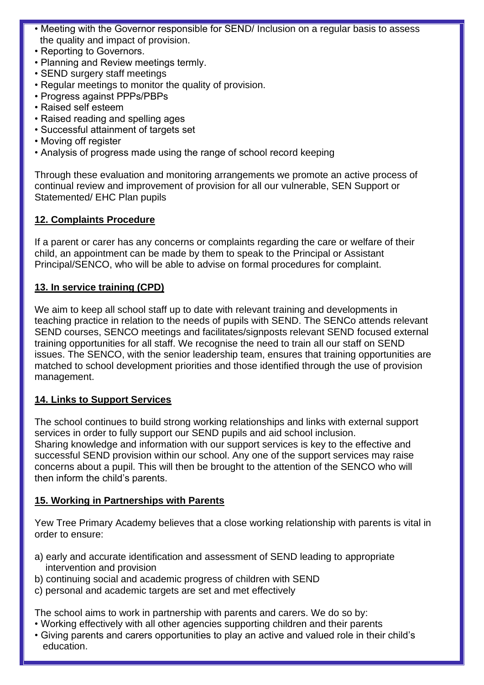- Meeting with the Governor responsible for SEND/ Inclusion on a regular basis to assess the quality and impact of provision.
- Reporting to Governors.
- Planning and Review meetings termly.
- SEND surgery staff meetings
- Regular meetings to monitor the quality of provision.
- Progress against PPPs/PBPs
- Raised self esteem
- Raised reading and spelling ages
- Successful attainment of targets set
- Moving off register
- Analysis of progress made using the range of school record keeping

Through these evaluation and monitoring arrangements we promote an active process of continual review and improvement of provision for all our vulnerable, SEN Support or Statemented/ EHC Plan pupils

#### **12. Complaints Procedure**

If a parent or carer has any concerns or complaints regarding the care or welfare of their child, an appointment can be made by them to speak to the Principal or Assistant Principal/SENCO, who will be able to advise on formal procedures for complaint.

#### **13. In service training (CPD)**

We aim to keep all school staff up to date with relevant training and developments in teaching practice in relation to the needs of pupils with SEND. The SENCo attends relevant SEND courses, SENCO meetings and facilitates/signposts relevant SEND focused external training opportunities for all staff. We recognise the need to train all our staff on SEND issues. The SENCO, with the senior leadership team, ensures that training opportunities are matched to school development priorities and those identified through the use of provision management.

#### **14. Links to Support Services**

The school continues to build strong working relationships and links with external support services in order to fully support our SEND pupils and aid school inclusion. Sharing knowledge and information with our support services is key to the effective and successful SEND provision within our school. Any one of the support services may raise concerns about a pupil. This will then be brought to the attention of the SENCO who will then inform the child's parents.

## **15. Working in Partnerships with Parents**

Yew Tree Primary Academy believes that a close working relationship with parents is vital in order to ensure:

- a) early and accurate identification and assessment of SEND leading to appropriate intervention and provision
- b) continuing social and academic progress of children with SEND
- c) personal and academic targets are set and met effectively

The school aims to work in partnership with parents and carers. We do so by:

- Working effectively with all other agencies supporting children and their parents
- Giving parents and carers opportunities to play an active and valued role in their child's education.